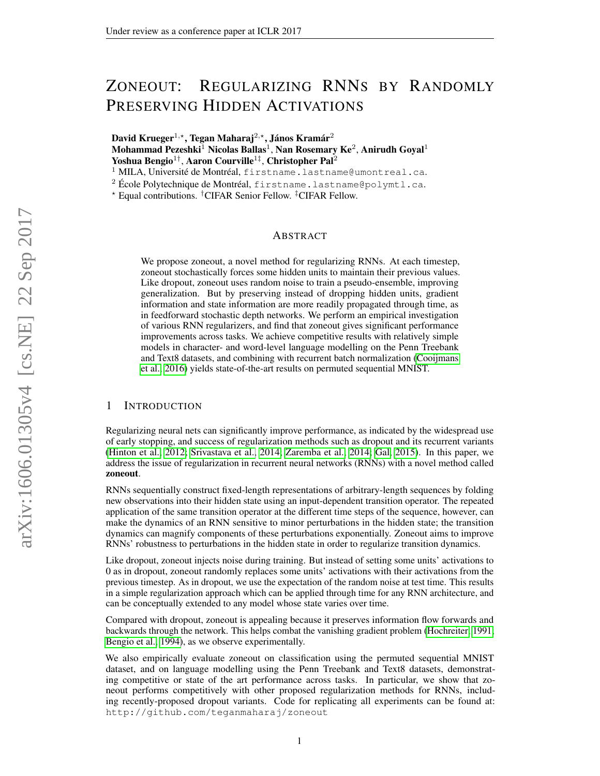# ZONEOUT: REGULARIZING RNNS BY RANDOMLY PRESERVING HIDDEN ACTIVATIONS

David Krueger<sup>1,\*</sup>, Tegan Maharaj<sup>2,\*</sup>, János Kramár<sup>2</sup> Mohammad Pezeshki $^1$  Nicolas Ballas $^1$ , Nan Rosemary Ke $^2$ , Anirudh Goyal $^1$ Yoshua Bengio $^{1\dagger}$ , Aaron Courville $^{1\dagger}$ , Christopher Pal $^2$ 

<sup>1</sup> MILA, Université de Montréal, firstname.lastname@umontreal.ca.

<sup>2</sup> École Polytechnique de Montréal, firstname.lastname@polymtl.ca.

? Equal contributions. †CIFAR Senior Fellow. ‡CIFAR Fellow.

# ABSTRACT

We propose zoneout, a novel method for regularizing RNNs. At each timestep, zoneout stochastically forces some hidden units to maintain their previous values. Like dropout, zoneout uses random noise to train a pseudo-ensemble, improving generalization. But by preserving instead of dropping hidden units, gradient information and state information are more readily propagated through time, as in feedforward stochastic depth networks. We perform an empirical investigation of various RNN regularizers, and find that zoneout gives significant performance improvements across tasks. We achieve competitive results with relatively simple models in character- and word-level language modelling on the Penn Treebank and Text8 datasets, and combining with recurrent batch normalization [\(Cooijmans](#page-8-0) [et al., 2016\)](#page-8-0) yields state-of-the-art results on permuted sequential MNIST.

# 1 INTRODUCTION

Regularizing neural nets can significantly improve performance, as indicated by the widespread use of early stopping, and success of regularization methods such as dropout and its recurrent variants [\(Hinton et al., 2012;](#page-8-1) [Srivastava et al., 2014;](#page-9-0) [Zaremba et al., 2014;](#page-9-1) [Gal, 2015\)](#page-8-2). In this paper, we address the issue of regularization in recurrent neural networks (RNNs) with a novel method called zoneout.

RNNs sequentially construct fixed-length representations of arbitrary-length sequences by folding new observations into their hidden state using an input-dependent transition operator. The repeated application of the same transition operator at the different time steps of the sequence, however, can make the dynamics of an RNN sensitive to minor perturbations in the hidden state; the transition dynamics can magnify components of these perturbations exponentially. Zoneout aims to improve RNNs' robustness to perturbations in the hidden state in order to regularize transition dynamics.

Like dropout, zoneout injects noise during training. But instead of setting some units' activations to 0 as in dropout, zoneout randomly replaces some units' activations with their activations from the previous timestep. As in dropout, we use the expectation of the random noise at test time. This results in a simple regularization approach which can be applied through time for any RNN architecture, and can be conceptually extended to any model whose state varies over time.

Compared with dropout, zoneout is appealing because it preserves information flow forwards and backwards through the network. This helps combat the vanishing gradient problem [\(Hochreiter, 1991;](#page-8-3) [Bengio et al., 1994\)](#page-8-4), as we observe experimentally.

We also empirically evaluate zoneout on classification using the permuted sequential MNIST dataset, and on language modelling using the Penn Treebank and Text8 datasets, demonstrating competitive or state of the art performance across tasks. In particular, we show that zoneout performs competitively with other proposed regularization methods for RNNs, including recently-proposed dropout variants. Code for replicating all experiments can be found at: http://github.com/teganmaharaj/zoneout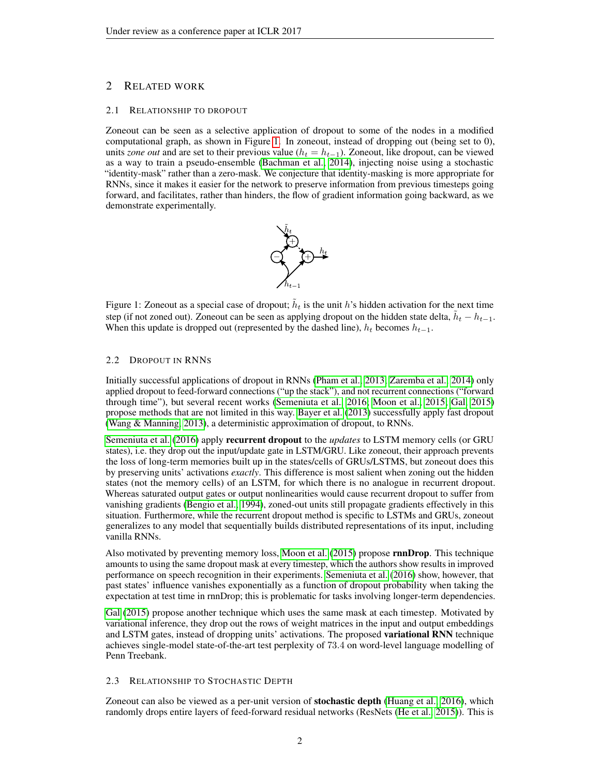# 2 RELATED WORK

#### 2.1 RELATIONSHIP TO DROPOUT

Zoneout can be seen as a selective application of dropout to some of the nodes in a modified computational graph, as shown in Figure [1.](#page-1-0) In zoneout, instead of dropping out (being set to 0), units *zone out* and are set to their previous value ( $h_t = h_{t-1}$ ). Zoneout, like dropout, can be viewed as a way to train a pseudo-ensemble [\(Bachman et al., 2014\)](#page-8-5), injecting noise using a stochastic "identity-mask" rather than a zero-mask. We conjecture that identity-masking is more appropriate for RNNs, since it makes it easier for the network to preserve information from previous timesteps going forward, and facilitates, rather than hinders, the flow of gradient information going backward, as we demonstrate experimentally.



<span id="page-1-0"></span>Figure 1: Zoneout as a special case of dropout;  $\tilde{h}_t$  is the unit h's hidden activation for the next time step (if not zoned out). Zoneout can be seen as applying dropout on the hidden state delta,  $\tilde{h}_t - h_{t-1}$ . When this update is dropped out (represented by the dashed line),  $h_t$  becomes  $h_{t-1}$ .

# 2.2 DROPOUT IN RNNS

Initially successful applications of dropout in RNNs [\(Pham et al., 2013;](#page-9-2) [Zaremba et al., 2014\)](#page-9-1) only applied dropout to feed-forward connections ("up the stack"), and not recurrent connections ("forward through time"), but several recent works [\(Semeniuta et al., 2016;](#page-9-3) [Moon et al., 2015;](#page-9-4) [Gal, 2015\)](#page-8-2) propose methods that are not limited in this way. [Bayer et al.](#page-8-6) [\(2013\)](#page-8-6) successfully apply fast dropout [\(Wang & Manning, 2013\)](#page-9-5), a deterministic approximation of dropout, to RNNs.

[Semeniuta et al.](#page-9-3) [\(2016\)](#page-9-3) apply recurrent dropout to the *updates* to LSTM memory cells (or GRU states), i.e. they drop out the input/update gate in LSTM/GRU. Like zoneout, their approach prevents the loss of long-term memories built up in the states/cells of GRUs/LSTMS, but zoneout does this by preserving units' activations *exactly*. This difference is most salient when zoning out the hidden states (not the memory cells) of an LSTM, for which there is no analogue in recurrent dropout. Whereas saturated output gates or output nonlinearities would cause recurrent dropout to suffer from vanishing gradients [\(Bengio et al., 1994\)](#page-8-4), zoned-out units still propagate gradients effectively in this situation. Furthermore, while the recurrent dropout method is specific to LSTMs and GRUs, zoneout generalizes to any model that sequentially builds distributed representations of its input, including vanilla RNNs.

Also motivated by preventing memory loss, [Moon et al.](#page-9-4) [\(2015\)](#page-9-4) propose rnnDrop. This technique amounts to using the same dropout mask at every timestep, which the authors show results in improved performance on speech recognition in their experiments. [Semeniuta et al.](#page-9-3) [\(2016\)](#page-9-3) show, however, that past states' influence vanishes exponentially as a function of dropout probability when taking the expectation at test time in rnnDrop; this is problematic for tasks involving longer-term dependencies.

[Gal](#page-8-2) [\(2015\)](#page-8-2) propose another technique which uses the same mask at each timestep. Motivated by variational inference, they drop out the rows of weight matrices in the input and output embeddings and LSTM gates, instead of dropping units' activations. The proposed variational RNN technique achieves single-model state-of-the-art test perplexity of 73.4 on word-level language modelling of Penn Treebank.

#### 2.3 RELATIONSHIP TO STOCHASTIC DEPTH

Zoneout can also be viewed as a per-unit version of stochastic depth [\(Huang et al., 2016\)](#page-8-7), which randomly drops entire layers of feed-forward residual networks (ResNets [\(He et al., 2015\)](#page-8-8)). This is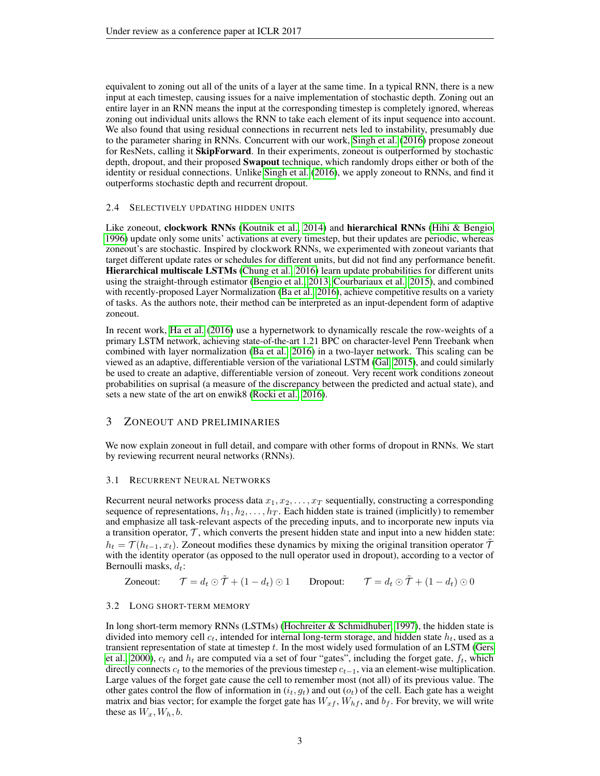equivalent to zoning out all of the units of a layer at the same time. In a typical RNN, there is a new input at each timestep, causing issues for a naive implementation of stochastic depth. Zoning out an entire layer in an RNN means the input at the corresponding timestep is completely ignored, whereas zoning out individual units allows the RNN to take each element of its input sequence into account. We also found that using residual connections in recurrent nets led to instability, presumably due to the parameter sharing in RNNs. Concurrent with our work, [Singh et al.](#page-9-6) [\(2016\)](#page-9-6) propose zoneout for ResNets, calling it SkipForward. In their experiments, zoneout is outperformed by stochastic depth, dropout, and their proposed **Swapout** technique, which randomly drops either or both of the identity or residual connections. Unlike [Singh et al.](#page-9-6) [\(2016\)](#page-9-6), we apply zoneout to RNNs, and find it outperforms stochastic depth and recurrent dropout.

# 2.4 SELECTIVELY UPDATING HIDDEN UNITS

Like zoneout, clockwork RNNs [\(Koutnik et al., 2014\)](#page-8-9) and hierarchical RNNs [\(Hihi & Bengio,](#page-8-10) [1996\)](#page-8-10) update only some units' activations at every timestep, but their updates are periodic, whereas zoneout's are stochastic. Inspired by clockwork RNNs, we experimented with zoneout variants that target different update rates or schedules for different units, but did not find any performance benefit. Hierarchical multiscale LSTMs [\(Chung et al., 2016\)](#page-8-11) learn update probabilities for different units using the straight-through estimator [\(Bengio et al., 2013;](#page-8-12) [Courbariaux et al., 2015\)](#page-8-13), and combined with recently-proposed Layer Normalization [\(Ba et al., 2016\)](#page-8-14), achieve competitive results on a variety of tasks. As the authors note, their method can be interpreted as an input-dependent form of adaptive zoneout.

In recent work, [Ha et al.](#page-8-15) [\(2016\)](#page-8-15) use a hypernetwork to dynamically rescale the row-weights of a primary LSTM network, achieving state-of-the-art 1.21 BPC on character-level Penn Treebank when combined with layer normalization [\(Ba et al., 2016\)](#page-8-14) in a two-layer network. This scaling can be viewed as an adaptive, differentiable version of the variational LSTM [\(Gal, 2015\)](#page-8-2), and could similarly be used to create an adaptive, differentiable version of zoneout. Very recent work conditions zoneout probabilities on suprisal (a measure of the discrepancy between the predicted and actual state), and sets a new state of the art on enwik8 [\(Rocki et al., 2016\)](#page-9-7).

# 3 ZONEOUT AND PRELIMINARIES

We now explain zoneout in full detail, and compare with other forms of dropout in RNNs. We start by reviewing recurrent neural networks (RNNs).

### 3.1 RECURRENT NEURAL NETWORKS

Recurrent neural networks process data  $x_1, x_2, \ldots, x_T$  sequentially, constructing a corresponding sequence of representations,  $h_1, h_2, \ldots, h_T$ . Each hidden state is trained (implicitly) to remember and emphasize all task-relevant aspects of the preceding inputs, and to incorporate new inputs via a transition operator,  $\mathcal{T}$ , which converts the present hidden state and input into a new hidden state:  $h_t = \mathcal{T}(h_{t-1}, x_t)$ . Zoneout modifies these dynamics by mixing the original transition operator  $\tilde{\mathcal{T}}$ with the identity operator (as opposed to the null operator used in dropout), according to a vector of Bernoulli masks,  $d_t$ :

Zoneout:  $\mathcal{T} = d_t \odot \tilde{\mathcal{T}} + (1 - d_t) \odot 1$  Dropout:  $\mathcal{T} = d_t \odot \tilde{\mathcal{T}} + (1 - d_t) \odot 0$ 

### 3.2 LONG SHORT-TERM MEMORY

In long short-term memory RNNs (LSTMs) [\(Hochreiter & Schmidhuber, 1997\)](#page-8-16), the hidden state is divided into memory cell  $c_t$ , intended for internal long-term storage, and hidden state  $h_t$ , used as a transient representation of state at timestep  $t$ . In the most widely used formulation of an LSTM [\(Gers](#page-8-17) [et al., 2000\)](#page-8-17),  $c_t$  and  $h_t$  are computed via a set of four "gates", including the forget gate,  $f_t$ , which directly connects  $c_t$  to the memories of the previous timestep  $c_{t-1}$ , via an element-wise multiplication. Large values of the forget gate cause the cell to remember most (not all) of its previous value. The other gates control the flow of information in  $(i_t, g_t)$  and out  $(o_t)$  of the cell. Each gate has a weight matrix and bias vector; for example the forget gate has  $W_{xf}$ ,  $W_{hf}$ , and  $b_f$ . For brevity, we will write these as  $W_x, W_h, b$ .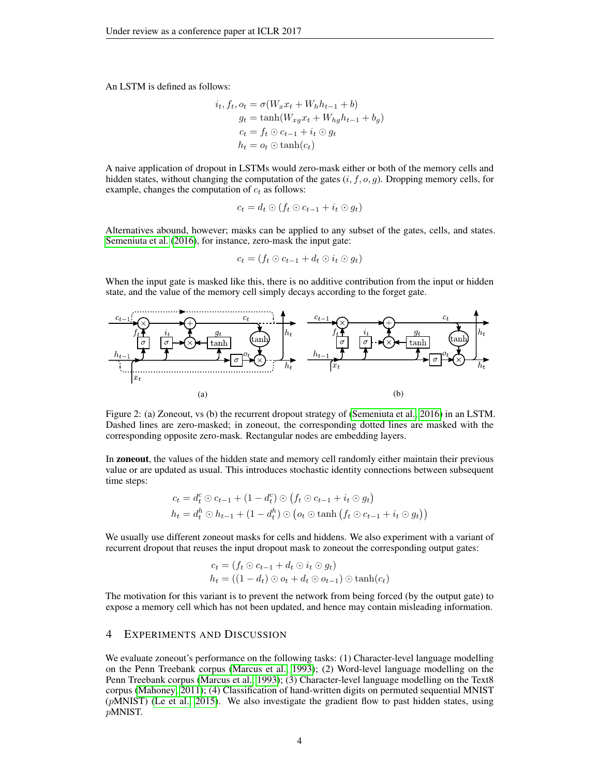An LSTM is defined as follows:

$$
i_t, f_t, o_t = \sigma(W_x x_t + W_h h_{t-1} + b)
$$
  
\n
$$
g_t = \tanh(W_{xg} x_t + W_{hg} h_{t-1} + b_g)
$$
  
\n
$$
c_t = f_t \odot c_{t-1} + i_t \odot g_t
$$
  
\n
$$
h_t = o_t \odot \tanh(c_t)
$$

A naive application of dropout in LSTMs would zero-mask either or both of the memory cells and hidden states, without changing the computation of the gates  $(i, f, o, g)$ . Dropping memory cells, for example, changes the computation of  $c_t$  as follows:

$$
c_t = d_t \odot (f_t \odot c_{t-1} + i_t \odot g_t)
$$

Alternatives abound, however; masks can be applied to any subset of the gates, cells, and states. [Semeniuta et al.](#page-9-3) [\(2016\)](#page-9-3), for instance, zero-mask the input gate:

$$
c_t = (f_t \odot c_{t-1} + d_t \odot i_t \odot g_t)
$$

When the input gate is masked like this, there is no additive contribution from the input or hidden state, and the value of the memory cell simply decays according to the forget gate.



Figure 2: (a) Zoneout, vs (b) the recurrent dropout strategy of [\(Semeniuta et al., 2016\)](#page-9-3) in an LSTM. Dashed lines are zero-masked; in zoneout, the corresponding dotted lines are masked with the corresponding opposite zero-mask. Rectangular nodes are embedding layers.

In zoneout, the values of the hidden state and memory cell randomly either maintain their previous value or are updated as usual. This introduces stochastic identity connections between subsequent time steps:

$$
c_t = d_t^c \odot c_{t-1} + (1 - d_t^c) \odot (f_t \odot c_{t-1} + i_t \odot g_t)
$$
  
\n
$$
h_t = d_t^h \odot h_{t-1} + (1 - d_t^h) \odot (o_t \odot \tanh (f_t \odot c_{t-1} + i_t \odot g_t))
$$

We usually use different zoneout masks for cells and hiddens. We also experiment with a variant of recurrent dropout that reuses the input dropout mask to zoneout the corresponding output gates:

$$
c_t = (f_t \odot c_{t-1} + d_t \odot i_t \odot g_t)
$$
  

$$
h_t = ((1 - d_t) \odot o_t + d_t \odot o_{t-1}) \odot \tanh(c_t)
$$

The motivation for this variant is to prevent the network from being forced (by the output gate) to expose a memory cell which has not been updated, and hence may contain misleading information.

# 4 EXPERIMENTS AND DISCUSSION

We evaluate zoneout's performance on the following tasks: (1) Character-level language modelling on the Penn Treebank corpus [\(Marcus et al., 1993\)](#page-9-8); (2) Word-level language modelling on the Penn Treebank corpus [\(Marcus et al., 1993\)](#page-9-8); (3) Character-level language modelling on the Text8 corpus [\(Mahoney, 2011\)](#page-9-9); (4) Classification of hand-written digits on permuted sequential MNIST (pMNIST) [\(Le et al., 2015\)](#page-9-10). We also investigate the gradient flow to past hidden states, using pMNIST.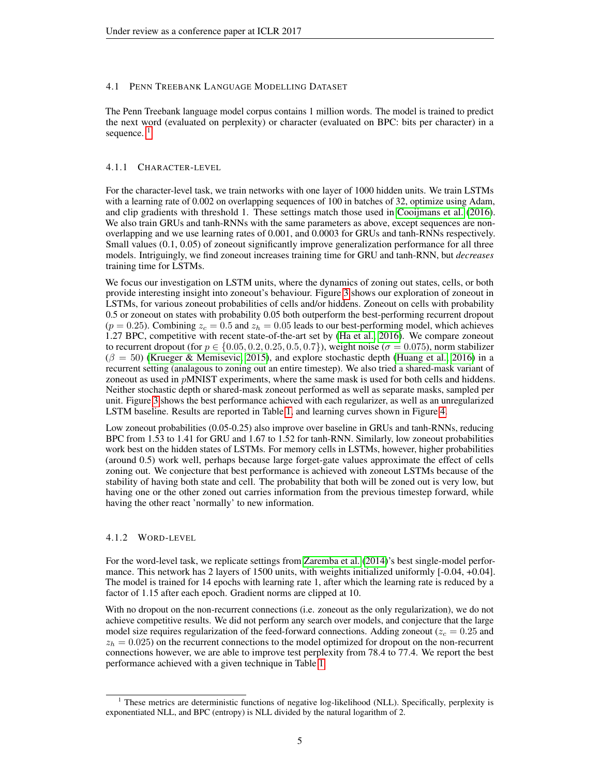# 4.1 PENN TREEBANK LANGUAGE MODELLING DATASET

The Penn Treebank language model corpus contains 1 million words. The model is trained to predict the next word (evaluated on perplexity) or character (evaluated on BPC: bits per character) in a sequence.  $<sup>1</sup>$  $<sup>1</sup>$  $<sup>1</sup>$ </sup>

# 4.1.1 CHARACTER-LEVEL

For the character-level task, we train networks with one layer of 1000 hidden units. We train LSTMs with a learning rate of 0.002 on overlapping sequences of 100 in batches of 32, optimize using Adam, and clip gradients with threshold 1. These settings match those used in [Cooijmans et al.](#page-8-0) [\(2016\)](#page-8-0). We also train GRUs and tanh-RNNs with the same parameters as above, except sequences are nonoverlapping and we use learning rates of 0.001, and 0.0003 for GRUs and tanh-RNNs respectively. Small values (0.1, 0.05) of zoneout significantly improve generalization performance for all three models. Intriguingly, we find zoneout increases training time for GRU and tanh-RNN, but *decreases* training time for LSTMs.

We focus our investigation on LSTM units, where the dynamics of zoning out states, cells, or both provide interesting insight into zoneout's behaviour. Figure [3](#page-5-0) shows our exploration of zoneout in LSTMs, for various zoneout probabilities of cells and/or hiddens. Zoneout on cells with probability 0.5 or zoneout on states with probability 0.05 both outperform the best-performing recurrent dropout  $(p = 0.25)$ . Combining  $z_c = 0.5$  and  $z_h = 0.05$  leads to our best-performing model, which achieves 1.27 BPC, competitive with recent state-of-the-art set by [\(Ha et al., 2016\)](#page-8-15). We compare zoneout to recurrent dropout (for  $p \in \{0.05, 0.2, 0.25, 0.5, 0.7\}$ ), weight noise ( $\sigma = 0.075$ ), norm stabilizer  $(\beta = 50)$  [\(Krueger & Memisevic, 2015\)](#page-9-11), and explore stochastic depth [\(Huang et al., 2016\)](#page-8-7) in a recurrent setting (analagous to zoning out an entire timestep). We also tried a shared-mask variant of zoneout as used in pMNIST experiments, where the same mask is used for both cells and hiddens. Neither stochastic depth or shared-mask zoneout performed as well as separate masks, sampled per unit. Figure [3](#page-5-0) shows the best performance achieved with each regularizer, as well as an unregularized LSTM baseline. Results are reported in Table [1,](#page-6-0) and learning curves shown in Figure [4.](#page-5-1)

Low zoneout probabilities (0.05-0.25) also improve over baseline in GRUs and tanh-RNNs, reducing BPC from 1.53 to 1.41 for GRU and 1.67 to 1.52 for tanh-RNN. Similarly, low zoneout probabilities work best on the hidden states of LSTMs. For memory cells in LSTMs, however, higher probabilities (around 0.5) work well, perhaps because large forget-gate values approximate the effect of cells zoning out. We conjecture that best performance is achieved with zoneout LSTMs because of the stability of having both state and cell. The probability that both will be zoned out is very low, but having one or the other zoned out carries information from the previous timestep forward, while having the other react 'normally' to new information.

### 4.1.2 WORD-LEVEL

For the word-level task, we replicate settings from [Zaremba et al.](#page-9-1) [\(2014\)](#page-9-1)'s best single-model performance. This network has 2 layers of 1500 units, with weights initialized uniformly  $[-0.04, +0.04]$ . The model is trained for 14 epochs with learning rate 1, after which the learning rate is reduced by a factor of 1.15 after each epoch. Gradient norms are clipped at 10.

With no dropout on the non-recurrent connections (i.e. zoneout as the only regularization), we do not achieve competitive results. We did not perform any search over models, and conjecture that the large model size requires regularization of the feed-forward connections. Adding zoneout ( $z_c = 0.25$  and  $z_h = 0.025$ ) on the recurrent connections to the model optimized for dropout on the non-recurrent connections however, we are able to improve test perplexity from 78.4 to 77.4. We report the best performance achieved with a given technique in Table [1.](#page-6-0)

<span id="page-4-0"></span><sup>&</sup>lt;sup>1</sup> These metrics are deterministic functions of negative log-likelihood (NLL). Specifically, perplexity is exponentiated NLL, and BPC (entropy) is NLL divided by the natural logarithm of 2.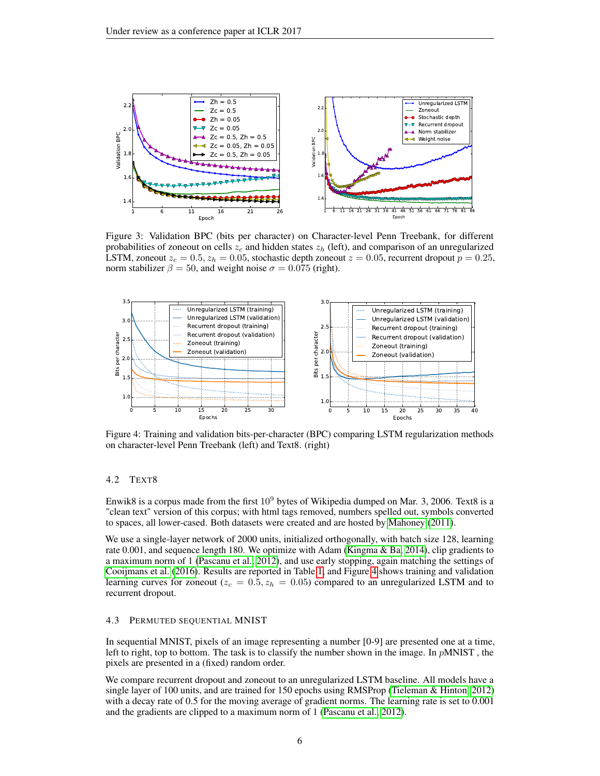<span id="page-5-0"></span>

Figure 3: Validation BPC (bits per character) on Character-level Penn Treebank, for different probabilities of zoneout on cells  $z_c$  and hidden states  $z_h$  (left), and comparison of an unregularized LSTM, zoneout  $z_c = 0.5$ ,  $z_h = 0.05$ , stochastic depth zoneout  $z = 0.05$ , recurrent dropout  $p = 0.25$ , norm stabilizer  $\beta = 50$ , and weight noise  $\sigma = 0.075$  (right).

<span id="page-5-1"></span>

Figure 4: Training and validation bits-per-character (BPC) comparing LSTM regularization methods on character-level Penn Treebank (left) and Text8. (right)

# 4.2 TEXT8

Enwik8 is a corpus made from the first  $10^9$  bytes of Wikipedia dumped on Mar. 3, 2006. Text8 is a "clean text" version of this corpus; with html tags removed, numbers spelled out, symbols converted to spaces, all lower-cased. Both datasets were created and are hosted by [Mahoney](#page-9-9) [\(2011\)](#page-9-9).

We use a single-layer network of 2000 units, initialized orthogonally, with batch size 128, learning rate 0.001, and sequence length 180. We optimize with Adam [\(Kingma & Ba, 2014\)](#page-8-18), clip gradients to a maximum norm of 1 [\(Pascanu et al., 2012\)](#page-9-12), and use early stopping, again matching the settings of [Cooijmans et al.](#page-8-0) [\(2016\)](#page-8-0). Results are reported in Table [1,](#page-6-0) and Figure [4](#page-5-1) shows training and validation learning curves for zoneout ( $z_c = 0.5$ ,  $z_h = 0.05$ ) compared to an unregularized LSTM and to recurrent dropout.

#### 4.3 PERMUTED SEQUENTIAL MNIST

In sequential MNIST, pixels of an image representing a number [0-9] are presented one at a time, left to right, top to bottom. The task is to classify the number shown in the image. In  $pMNIST$ , the pixels are presented in a (fixed) random order.

We compare recurrent dropout and zoneout to an unregularized LSTM baseline. All models have a single layer of 100 units, and are trained for 150 epochs using RMSProp [\(Tieleman & Hinton, 2012\)](#page-9-13) with a decay rate of 0.5 for the moving average of gradient norms. The learning rate is set to 0.001 and the gradients are clipped to a maximum norm of 1 [\(Pascanu et al., 2012\)](#page-9-12).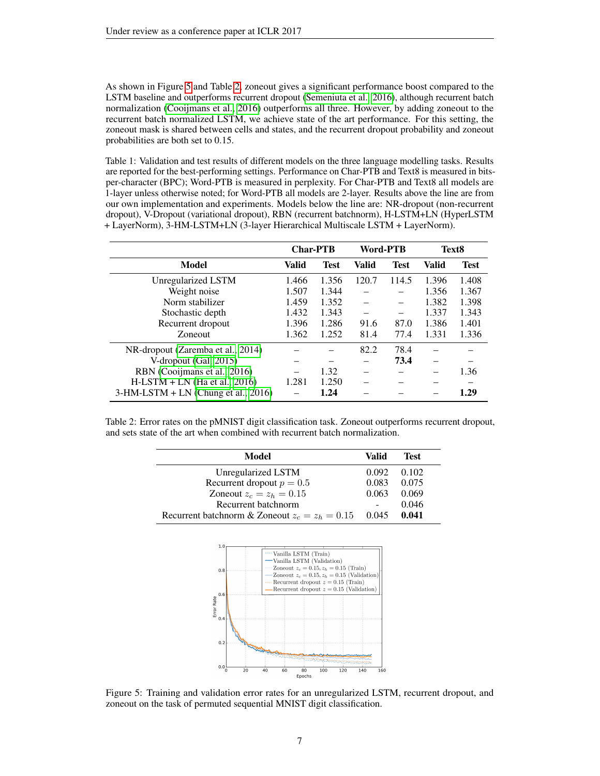As shown in Figure [5](#page-6-1) and Table [2,](#page-6-2) zoneout gives a significant performance boost compared to the LSTM baseline and outperforms recurrent dropout [\(Semeniuta et al., 2016\)](#page-9-3), although recurrent batch normalization [\(Cooijmans et al., 2016\)](#page-8-0) outperforms all three. However, by adding zoneout to the recurrent batch normalized LSTM, we achieve state of the art performance. For this setting, the zoneout mask is shared between cells and states, and the recurrent dropout probability and zoneout probabilities are both set to 0.15.

<span id="page-6-0"></span>Table 1: Validation and test results of different models on the three language modelling tasks. Results are reported for the best-performing settings. Performance on Char-PTB and Text8 is measured in bitsper-character (BPC); Word-PTB is measured in perplexity. For Char-PTB and Text8 all models are 1-layer unless otherwise noted; for Word-PTB all models are 2-layer. Results above the line are from our own implementation and experiments. Models below the line are: NR-dropout (non-recurrent dropout), V-Dropout (variational dropout), RBN (recurrent batchnorm), H-LSTM+LN (HyperLSTM + LayerNorm), 3-HM-LSTM+LN (3-layer Hierarchical Multiscale LSTM + LayerNorm).

|                                       | <b>Char-PTB</b> |             | Word-PTB |             | Text8 |             |
|---------------------------------------|-----------------|-------------|----------|-------------|-------|-------------|
| Model                                 | Valid           | <b>Test</b> | Valid    | <b>Test</b> | Valid | <b>Test</b> |
| Unregularized LSTM                    | 1.466           | 1.356       | 120.7    | 114.5       | 1.396 | 1.408       |
| Weight noise                          | 1.507           | 1.344       |          |             | 1.356 | 1.367       |
| Norm stabilizer                       | 1.459           | 1.352       |          |             | 1.382 | 1.398       |
| Stochastic depth                      | 1.432           | 1.343       |          |             | 1.337 | 1.343       |
| Recurrent dropout                     | 1.396           | 1.286       | 91.6     | 87.0        | 1.386 | 1.401       |
| Zoneout                               | 1.362           | 1.252       | 81.4     | 77.4        | 1.331 | 1.336       |
| NR-dropout (Zaremba et al., 2014)     |                 |             | 82.2     | 78.4        |       |             |
| V-dropout (Gal, 2015)                 |                 |             |          | 73.4        |       |             |
| RBN (Cooijmans et al., 2016)          |                 | 1.32        |          |             |       | 1.36        |
| $H-LSTM + LN$ (Ha et al., 2016)       | 1.281           | 1.250       |          |             |       |             |
| $3-HM-LSTM + LN$ (Chung et al., 2016) |                 | 1.24        |          |             |       | 1.29        |

<span id="page-6-2"></span>Table 2: Error rates on the pMNIST digit classification task. Zoneout outperforms recurrent dropout, and sets state of the art when combined with recurrent batch normalization.

| Model                                            |       | <b>Test</b> |  |
|--------------------------------------------------|-------|-------------|--|
| Unregularized LSTM                               | 0.092 | 0.102       |  |
| Recurrent dropout $p = 0.5$                      | 0.083 | 0.075       |  |
| Zoneout $z_c = z_h = 0.15$                       | 0.063 | 0.069       |  |
| Recurrent batchnorm                              |       | 0.046       |  |
| Recurrent batchnorm & Zoneout $z_c = z_h = 0.15$ |       | 0.041       |  |

<span id="page-6-1"></span>

Figure 5: Training and validation error rates for an unregularized LSTM, recurrent dropout, and zoneout on the task of permuted sequential MNIST digit classification.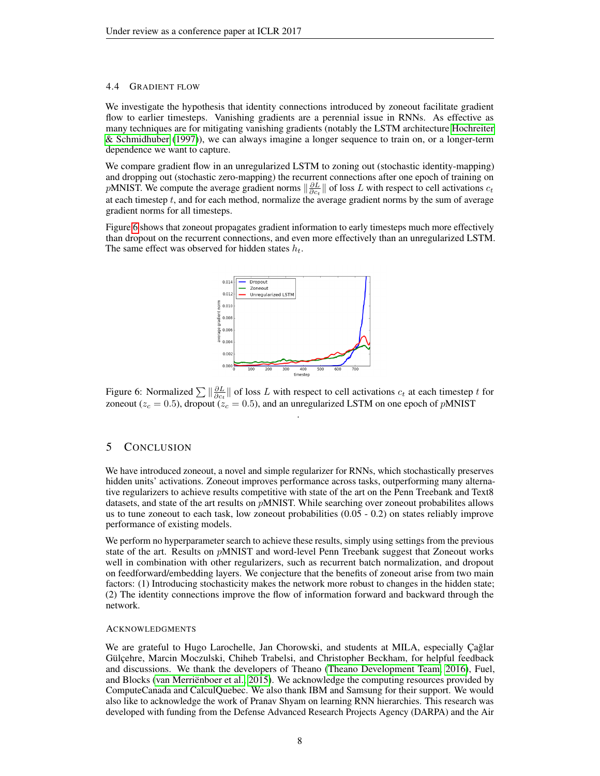#### 4.4 GRADIENT FLOW

We investigate the hypothesis that identity connections introduced by zoneout facilitate gradient flow to earlier timesteps. Vanishing gradients are a perennial issue in RNNs. As effective as many techniques are for mitigating vanishing gradients (notably the LSTM architecture [Hochreiter](#page-8-16) [& Schmidhuber](#page-8-16) [\(1997\)](#page-8-16)), we can always imagine a longer sequence to train on, or a longer-term dependence we want to capture.

We compare gradient flow in an unregularized LSTM to zoning out (stochastic identity-mapping) and dropping out (stochastic zero-mapping) the recurrent connections after one epoch of training on pMNIST. We compute the average gradient norms  $\|\frac{\partial L}{\partial c_t}\|$  of loss L with respect to cell activations  $c_t$ at each timestep  $t$ , and for each method, normalize the average gradient norms by the sum of average gradient norms for all timesteps.

<span id="page-7-0"></span>Figure [6](#page-7-0) shows that zoneout propagates gradient information to early timesteps much more effectively than dropout on the recurrent connections, and even more effectively than an unregularized LSTM. The same effect was observed for hidden states  $h_t$ .



Figure 6: Normalized  $\sum \|\frac{\partial L}{\partial c_t}\|$  of loss L with respect to cell activations  $c_t$  at each timestep t for zoneout ( $z_c = 0.5$ ), dropout ( $\dot{z}_c = 0.5$ ), and an unregularized LSTM on one epoch of pMNIST .

# 5 CONCLUSION

We have introduced zoneout, a novel and simple regularizer for RNNs, which stochastically preserves hidden units' activations. Zoneout improves performance across tasks, outperforming many alternative regularizers to achieve results competitive with state of the art on the Penn Treebank and Text8 datasets, and state of the art results on pMNIST. While searching over zoneout probabilites allows us to tune zoneout to each task, low zoneout probabilities (0.05 - 0.2) on states reliably improve performance of existing models.

We perform no hyperparameter search to achieve these results, simply using settings from the previous state of the art. Results on pMNIST and word-level Penn Treebank suggest that Zoneout works well in combination with other regularizers, such as recurrent batch normalization, and dropout on feedforward/embedding layers. We conjecture that the benefits of zoneout arise from two main factors: (1) Introducing stochasticity makes the network more robust to changes in the hidden state; (2) The identity connections improve the flow of information forward and backward through the network.

# **ACKNOWLEDGMENTS**

We are grateful to Hugo Larochelle, Jan Chorowski, and students at MILA, especially Cağlar Gülçehre, Marcin Moczulski, Chiheb Trabelsi, and Christopher Beckham, for helpful feedback and discussions. We thank the developers of Theano [\(Theano Development Team, 2016\)](#page-9-14), Fuel, and Blocks [\(van Merriënboer et al., 2015\)](#page-9-15). We acknowledge the computing resources provided by ComputeCanada and CalculQuebec. We also thank IBM and Samsung for their support. We would also like to acknowledge the work of Pranav Shyam on learning RNN hierarchies. This research was developed with funding from the Defense Advanced Research Projects Agency (DARPA) and the Air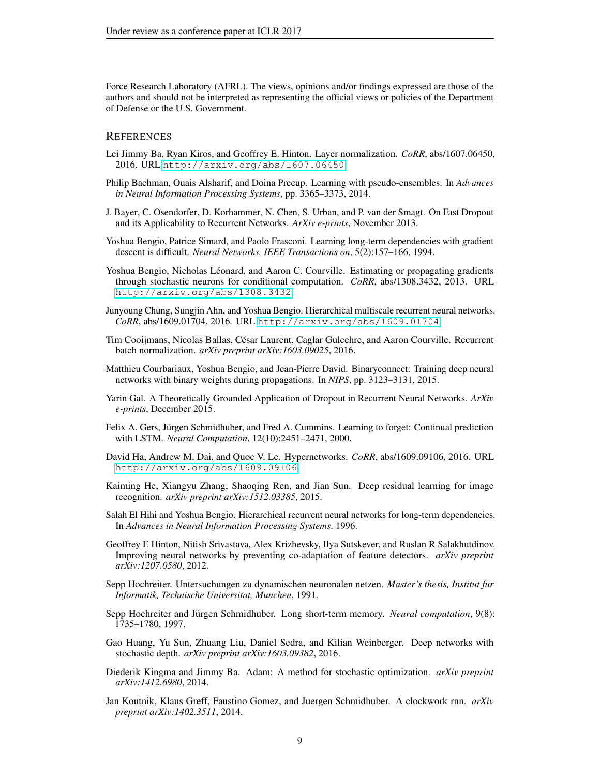Force Research Laboratory (AFRL). The views, opinions and/or findings expressed are those of the authors and should not be interpreted as representing the official views or policies of the Department of Defense or the U.S. Government.

## **REFERENCES**

- <span id="page-8-14"></span>Lei Jimmy Ba, Ryan Kiros, and Geoffrey E. Hinton. Layer normalization. *CoRR*, abs/1607.06450, 2016. URL <http://arxiv.org/abs/1607.06450>.
- <span id="page-8-5"></span>Philip Bachman, Ouais Alsharif, and Doina Precup. Learning with pseudo-ensembles. In *Advances in Neural Information Processing Systems*, pp. 3365–3373, 2014.
- <span id="page-8-6"></span>J. Bayer, C. Osendorfer, D. Korhammer, N. Chen, S. Urban, and P. van der Smagt. On Fast Dropout and its Applicability to Recurrent Networks. *ArXiv e-prints*, November 2013.
- <span id="page-8-4"></span>Yoshua Bengio, Patrice Simard, and Paolo Frasconi. Learning long-term dependencies with gradient descent is difficult. *Neural Networks, IEEE Transactions on*, 5(2):157–166, 1994.
- <span id="page-8-12"></span>Yoshua Bengio, Nicholas Léonard, and Aaron C. Courville. Estimating or propagating gradients through stochastic neurons for conditional computation. *CoRR*, abs/1308.3432, 2013. URL <http://arxiv.org/abs/1308.3432>.
- <span id="page-8-11"></span>Junyoung Chung, Sungjin Ahn, and Yoshua Bengio. Hierarchical multiscale recurrent neural networks. *CoRR*, abs/1609.01704, 2016. URL <http://arxiv.org/abs/1609.01704>.
- <span id="page-8-0"></span>Tim Cooijmans, Nicolas Ballas, César Laurent, Caglar Gulcehre, and Aaron Courville. Recurrent batch normalization. *arXiv preprint arXiv:1603.09025*, 2016.
- <span id="page-8-13"></span>Matthieu Courbariaux, Yoshua Bengio, and Jean-Pierre David. Binaryconnect: Training deep neural networks with binary weights during propagations. In *NIPS*, pp. 3123–3131, 2015.
- <span id="page-8-2"></span>Yarin Gal. A Theoretically Grounded Application of Dropout in Recurrent Neural Networks. *ArXiv e-prints*, December 2015.
- <span id="page-8-17"></span>Felix A. Gers, Jürgen Schmidhuber, and Fred A. Cummins. Learning to forget: Continual prediction with LSTM. *Neural Computation*, 12(10):2451–2471, 2000.
- <span id="page-8-15"></span>David Ha, Andrew M. Dai, and Quoc V. Le. Hypernetworks. *CoRR*, abs/1609.09106, 2016. URL <http://arxiv.org/abs/1609.09106>.
- <span id="page-8-8"></span>Kaiming He, Xiangyu Zhang, Shaoqing Ren, and Jian Sun. Deep residual learning for image recognition. *arXiv preprint arXiv:1512.03385*, 2015.
- <span id="page-8-10"></span>Salah El Hihi and Yoshua Bengio. Hierarchical recurrent neural networks for long-term dependencies. In *Advances in Neural Information Processing Systems*. 1996.
- <span id="page-8-1"></span>Geoffrey E Hinton, Nitish Srivastava, Alex Krizhevsky, Ilya Sutskever, and Ruslan R Salakhutdinov. Improving neural networks by preventing co-adaptation of feature detectors. *arXiv preprint arXiv:1207.0580*, 2012.
- <span id="page-8-3"></span>Sepp Hochreiter. Untersuchungen zu dynamischen neuronalen netzen. *Master's thesis, Institut fur Informatik, Technische Universitat, Munchen*, 1991.
- <span id="page-8-16"></span>Sepp Hochreiter and Jürgen Schmidhuber. Long short-term memory. *Neural computation*, 9(8): 1735–1780, 1997.
- <span id="page-8-7"></span>Gao Huang, Yu Sun, Zhuang Liu, Daniel Sedra, and Kilian Weinberger. Deep networks with stochastic depth. *arXiv preprint arXiv:1603.09382*, 2016.
- <span id="page-8-18"></span>Diederik Kingma and Jimmy Ba. Adam: A method for stochastic optimization. *arXiv preprint arXiv:1412.6980*, 2014.
- <span id="page-8-9"></span>Jan Koutnik, Klaus Greff, Faustino Gomez, and Juergen Schmidhuber. A clockwork rnn. *arXiv preprint arXiv:1402.3511*, 2014.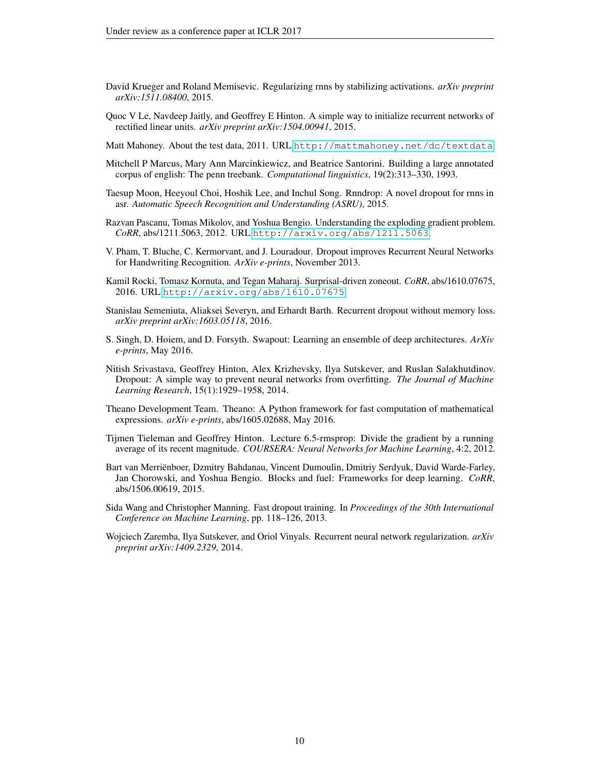- <span id="page-9-11"></span>David Krueger and Roland Memisevic. Regularizing rnns by stabilizing activations. *arXiv preprint arXiv:1511.08400*, 2015.
- <span id="page-9-10"></span>Quoc V Le, Navdeep Jaitly, and Geoffrey E Hinton. A simple way to initialize recurrent networks of rectified linear units. *arXiv preprint arXiv:1504.00941*, 2015.
- <span id="page-9-9"></span>Matt Mahoney. About the test data, 2011. URL <http://mattmahoney.net/dc/textdata>.
- <span id="page-9-8"></span>Mitchell P Marcus, Mary Ann Marcinkiewicz, and Beatrice Santorini. Building a large annotated corpus of english: The penn treebank. *Computational linguistics*, 19(2):313–330, 1993.
- <span id="page-9-4"></span>Taesup Moon, Heeyoul Choi, Hoshik Lee, and Inchul Song. Rnndrop: A novel dropout for rnns in asr. *Automatic Speech Recognition and Understanding (ASRU)*, 2015.
- <span id="page-9-12"></span>Razvan Pascanu, Tomas Mikolov, and Yoshua Bengio. Understanding the exploding gradient problem. *CoRR*, abs/1211.5063, 2012. URL <http://arxiv.org/abs/1211.5063>.
- <span id="page-9-2"></span>V. Pham, T. Bluche, C. Kermorvant, and J. Louradour. Dropout improves Recurrent Neural Networks for Handwriting Recognition. *ArXiv e-prints*, November 2013.
- <span id="page-9-7"></span>Kamil Rocki, Tomasz Kornuta, and Tegan Maharaj. Surprisal-driven zoneout. *CoRR*, abs/1610.07675, 2016. URL <http://arxiv.org/abs/1610.07675>.
- <span id="page-9-3"></span>Stanislau Semeniuta, Aliaksei Severyn, and Erhardt Barth. Recurrent dropout without memory loss. *arXiv preprint arXiv:1603.05118*, 2016.
- <span id="page-9-6"></span>S. Singh, D. Hoiem, and D. Forsyth. Swapout: Learning an ensemble of deep architectures. *ArXiv e-prints*, May 2016.
- <span id="page-9-0"></span>Nitish Srivastava, Geoffrey Hinton, Alex Krizhevsky, Ilya Sutskever, and Ruslan Salakhutdinov. Dropout: A simple way to prevent neural networks from overfitting. *The Journal of Machine Learning Research*, 15(1):1929–1958, 2014.
- <span id="page-9-14"></span>Theano Development Team. Theano: A Python framework for fast computation of mathematical expressions. *arXiv e-prints*, abs/1605.02688, May 2016.
- <span id="page-9-13"></span>Tijmen Tieleman and Geoffrey Hinton. Lecture 6.5-rmsprop: Divide the gradient by a running average of its recent magnitude. *COURSERA: Neural Networks for Machine Learning*, 4:2, 2012.
- <span id="page-9-15"></span>Bart van Merriënboer, Dzmitry Bahdanau, Vincent Dumoulin, Dmitriy Serdyuk, David Warde-Farley, Jan Chorowski, and Yoshua Bengio. Blocks and fuel: Frameworks for deep learning. *CoRR*, abs/1506.00619, 2015.
- <span id="page-9-5"></span>Sida Wang and Christopher Manning. Fast dropout training. In *Proceedings of the 30th International Conference on Machine Learning*, pp. 118–126, 2013.
- <span id="page-9-1"></span>Wojciech Zaremba, Ilya Sutskever, and Oriol Vinyals. Recurrent neural network regularization. *arXiv preprint arXiv:1409.2329*, 2014.